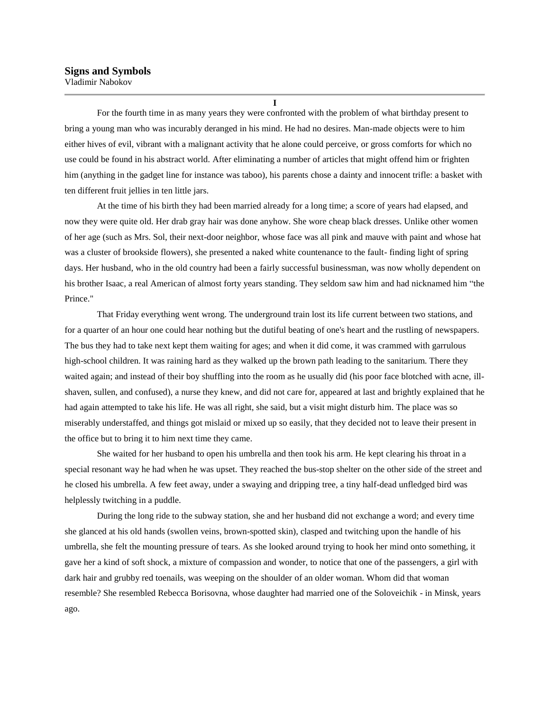**I**

For the fourth time in as many years they were confronted with the problem of what birthday present to bring a young man who was incurably deranged in his mind. He had no desires. Man-made objects were to him either hives of evil, vibrant with a malignant activity that he alone could perceive, or gross comforts for which no use could be found in his abstract world. After eliminating a number of articles that might offend him or frighten him (anything in the gadget line for instance was taboo), his parents chose a dainty and innocent trifle: a basket with ten different fruit jellies in ten little jars.

At the time of his birth they had been married already for a long time; a score of years had elapsed, and now they were quite old. Her drab gray hair was done anyhow. She wore cheap black dresses. Unlike other women of her age (such as Mrs. Sol, their next-door neighbor, whose face was all pink and mauve with paint and whose hat was a cluster of brookside flowers), she presented a naked white countenance to the fault- finding light of spring days. Her husband, who in the old country had been a fairly successful businessman, was now wholly dependent on his brother Isaac, a real American of almost forty years standing. They seldom saw him and had nicknamed him "the Prince."

That Friday everything went wrong. The underground train lost its life current between two stations, and for a quarter of an hour one could hear nothing but the dutiful beating of one's heart and the rustling of newspapers. The bus they had to take next kept them waiting for ages; and when it did come, it was crammed with garrulous high-school children. It was raining hard as they walked up the brown path leading to the sanitarium. There they waited again; and instead of their boy shuffling into the room as he usually did (his poor face blotched with acne, illshaven, sullen, and confused), a nurse they knew, and did not care for, appeared at last and brightly explained that he had again attempted to take his life. He was all right, she said, but a visit might disturb him. The place was so miserably understaffed, and things got mislaid or mixed up so easily, that they decided not to leave their present in the office but to bring it to him next time they came.

She waited for her husband to open his umbrella and then took his arm. He kept clearing his throat in a special resonant way he had when he was upset. They reached the bus-stop shelter on the other side of the street and he closed his umbrella. A few feet away, under a swaying and dripping tree, a tiny half-dead unfledged bird was helplessly twitching in a puddle.

During the long ride to the subway station, she and her husband did not exchange a word; and every time she glanced at his old hands (swollen veins, brown-spotted skin), clasped and twitching upon the handle of his umbrella, she felt the mounting pressure of tears. As she looked around trying to hook her mind onto something, it gave her a kind of soft shock, a mixture of compassion and wonder, to notice that one of the passengers, a girl with dark hair and grubby red toenails, was weeping on the shoulder of an older woman. Whom did that woman resemble? She resembled Rebecca Borisovna, whose daughter had married one of the Soloveichik - in Minsk, years ago.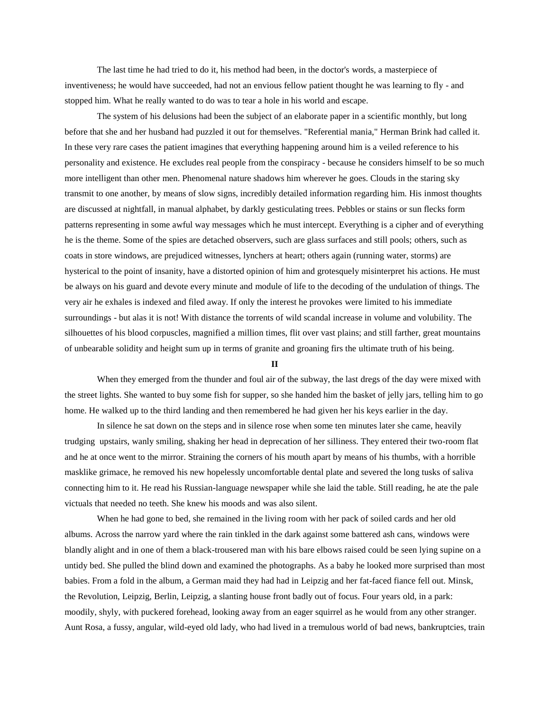The last time he had tried to do it, his method had been, in the doctor's words, a masterpiece of inventiveness; he would have succeeded, had not an envious fellow patient thought he was learning to fly - and stopped him. What he really wanted to do was to tear a hole in his world and escape.

The system of his delusions had been the subject of an elaborate paper in a scientific monthly, but long before that she and her husband had puzzled it out for themselves. "Referential mania," Herman Brink had called it. In these very rare cases the patient imagines that everything happening around him is a veiled reference to his personality and existence. He excludes real people from the conspiracy - because he considers himself to be so much more intelligent than other men. Phenomenal nature shadows him wherever he goes. Clouds in the staring sky transmit to one another, by means of slow signs, incredibly detailed information regarding him. His inmost thoughts are discussed at nightfall, in manual alphabet, by darkly gesticulating trees. Pebbles or stains or sun flecks form patterns representing in some awful way messages which he must intercept. Everything is a cipher and of everything he is the theme. Some of the spies are detached observers, such are glass surfaces and still pools; others, such as coats in store windows, are prejudiced witnesses, lynchers at heart; others again (running water, storms) are hysterical to the point of insanity, have a distorted opinion of him and grotesquely misinterpret his actions. He must be always on his guard and devote every minute and module of life to the decoding of the undulation of things. The very air he exhales is indexed and filed away. If only the interest he provokes were limited to his immediate surroundings - but alas it is not! With distance the torrents of wild scandal increase in volume and volubility. The silhouettes of his blood corpuscles, magnified a million times, flit over vast plains; and still farther, great mountains of unbearable solidity and height sum up in terms of granite and groaning firs the ultimate truth of his being.

**II**

When they emerged from the thunder and foul air of the subway, the last dregs of the day were mixed with the street lights. She wanted to buy some fish for supper, so she handed him the basket of jelly jars, telling him to go home. He walked up to the third landing and then remembered he had given her his keys earlier in the day.

In silence he sat down on the steps and in silence rose when some ten minutes later she came, heavily trudging upstairs, wanly smiling, shaking her head in deprecation of her silliness. They entered their two-room flat and he at once went to the mirror. Straining the corners of his mouth apart by means of his thumbs, with a horrible masklike grimace, he removed his new hopelessly uncomfortable dental plate and severed the long tusks of saliva connecting him to it. He read his Russian-language newspaper while she laid the table. Still reading, he ate the pale victuals that needed no teeth. She knew his moods and was also silent.

When he had gone to bed, she remained in the living room with her pack of soiled cards and her old albums. Across the narrow yard where the rain tinkled in the dark against some battered ash cans, windows were blandly alight and in one of them a black-trousered man with his bare elbows raised could be seen lying supine on a untidy bed. She pulled the blind down and examined the photographs. As a baby he looked more surprised than most babies. From a fold in the album, a German maid they had had in Leipzig and her fat-faced fiance fell out. Minsk, the Revolution, Leipzig, Berlin, Leipzig, a slanting house front badly out of focus. Four years old, in a park: moodily, shyly, with puckered forehead, looking away from an eager squirrel as he would from any other stranger. Aunt Rosa, a fussy, angular, wild-eyed old lady, who had lived in a tremulous world of bad news, bankruptcies, train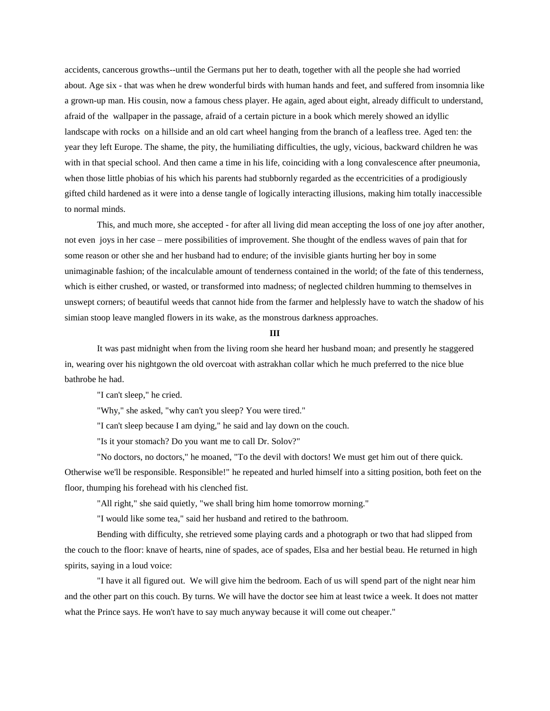accidents, cancerous growths--until the Germans put her to death, together with all the people she had worried about. Age six - that was when he drew wonderful birds with human hands and feet, and suffered from insomnia like a grown-up man. His cousin, now a famous chess player. He again, aged about eight, already difficult to understand, afraid of the wallpaper in the passage, afraid of a certain picture in a book which merely showed an idyllic landscape with rocks on a hillside and an old cart wheel hanging from the branch of a leafless tree. Aged ten: the year they left Europe. The shame, the pity, the humiliating difficulties, the ugly, vicious, backward children he was with in that special school. And then came a time in his life, coinciding with a long convalescence after pneumonia, when those little phobias of his which his parents had stubbornly regarded as the eccentricities of a prodigiously gifted child hardened as it were into a dense tangle of logically interacting illusions, making him totally inaccessible to normal minds.

This, and much more, she accepted - for after all living did mean accepting the loss of one joy after another, not even joys in her case – mere possibilities of improvement. She thought of the endless waves of pain that for some reason or other she and her husband had to endure; of the invisible giants hurting her boy in some unimaginable fashion; of the incalculable amount of tenderness contained in the world; of the fate of this tenderness, which is either crushed, or wasted, or transformed into madness; of neglected children humming to themselves in unswept corners; of beautiful weeds that cannot hide from the farmer and helplessly have to watch the shadow of his simian stoop leave mangled flowers in its wake, as the monstrous darkness approaches.

## **III**

It was past midnight when from the living room she heard her husband moan; and presently he staggered in, wearing over his nightgown the old overcoat with astrakhan collar which he much preferred to the nice blue bathrobe he had.

"I can't sleep," he cried.

"Why," she asked, "why can't you sleep? You were tired."

"I can't sleep because I am dying," he said and lay down on the couch.

"Is it your stomach? Do you want me to call Dr. Solov?"

"No doctors, no doctors," he moaned, "To the devil with doctors! We must get him out of there quick. Otherwise we'll be responsible. Responsible!" he repeated and hurled himself into a sitting position, both feet on the floor, thumping his forehead with his clenched fist.

"All right," she said quietly, "we shall bring him home tomorrow morning."

"I would like some tea," said her husband and retired to the bathroom.

Bending with difficulty, she retrieved some playing cards and a photograph or two that had slipped from the couch to the floor: knave of hearts, nine of spades, ace of spades, Elsa and her bestial beau. He returned in high spirits, saying in a loud voice:

"I have it all figured out. We will give him the bedroom. Each of us will spend part of the night near him and the other part on this couch. By turns. We will have the doctor see him at least twice a week. It does not matter what the Prince says. He won't have to say much anyway because it will come out cheaper."